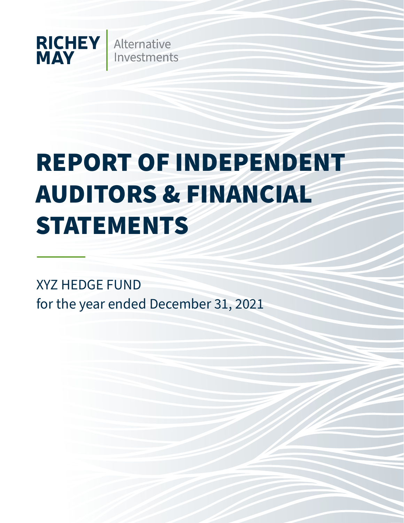

# REPORT OF INDEPENDENT AUDITORS & FINANCIAL STATEMENTS

XYZ HEDGE FUND for the year ended December 31, 2021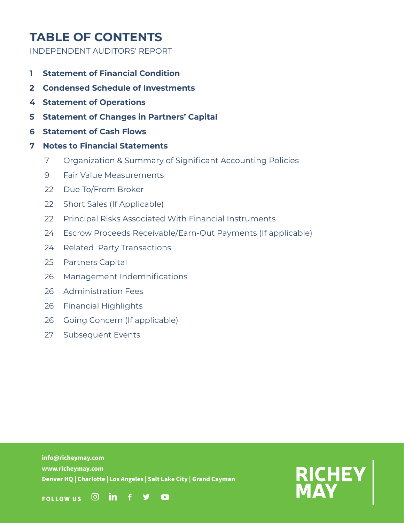# **TABLE OF CONTENTS**

INDEPENDENT AUDITORS' REPORT

- **1 Statement of Financial Condition**
- **2 Condensed Schedule of Investments**
- **4 Statement of Operations**
- **5 Statement of Changes in Partners' Capital**
- **6 Statement of Cash Flows**
- **7 Notes to Financial Statements**
	- 7 Organization & Summary of Significant Accounting Policies
	- 9 Fair Value Measurements
	- 22 Due To/From Broker
	- 22 Short Sales (If Applicable)
	- 22 Principal Risks Associated With Financial Instruments
	- 24 Escrow Proceeds Receivable/Earn-Out Payments (If applicable)
	- 24 Related Party Transactions
	- 25 Partners Capital
	- 26 Management Indemnifications
	- 26 Administration Fees
	- 26 Financial Highlights
	- 26 Going Concern (If applicable)
	- 27 Subsequent Events

**info@richeymay.com www.richeymay.com Denver HQ | Charlotte | Los Angeles | Salt Lake City | Grand Cayman**

 $\bullet$ 



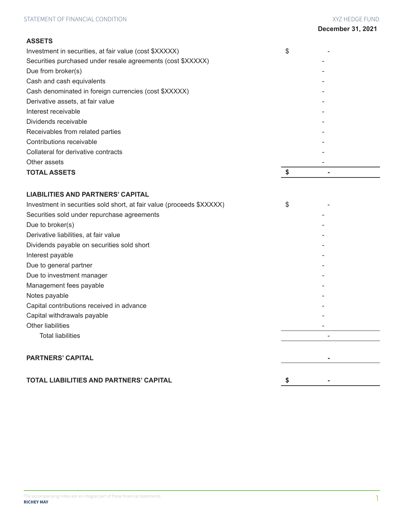# **ASSETS**

| Investment in securities, at fair value (cost \$XXXXX)      | \$ |
|-------------------------------------------------------------|----|
| Securities purchased under resale agreements (cost \$XXXXX) |    |
| Due from broker(s)                                          |    |
| Cash and cash equivalents                                   |    |
| Cash denominated in foreign currencies (cost \$XXXXX)       |    |
| Derivative assets, at fair value                            |    |
| Interest receivable                                         |    |
| Dividends receivable                                        |    |
| Receivables from related parties                            |    |
| Contributions receivable                                    |    |
| Collateral for derivative contracts                         |    |
| Other assets                                                |    |
| <b>TOTAL ASSETS</b>                                         |    |
|                                                             |    |

# **LIABILITIES AND PARTNERS' CAPITAL**

| Investment in securities sold short, at fair value (proceeds \$XXXXX) | \$ |
|-----------------------------------------------------------------------|----|
| Securities sold under repurchase agreements                           |    |
| Due to broker(s)                                                      |    |
| Derivative liabilities, at fair value                                 |    |
| Dividends payable on securities sold short                            |    |
| Interest payable                                                      |    |
| Due to general partner                                                |    |
| Due to investment manager                                             |    |
| Management fees payable                                               |    |
| Notes payable                                                         |    |
| Capital contributions received in advance                             |    |
| Capital withdrawals payable                                           |    |
| Other liabilities                                                     |    |
| <b>Total liabilities</b>                                              |    |
|                                                                       |    |
| <b>PARTNERS' CAPITAL</b>                                              |    |
|                                                                       |    |
| <b>TOTAL LIABILITIES AND PARTNERS' CAPITAL</b>                        |    |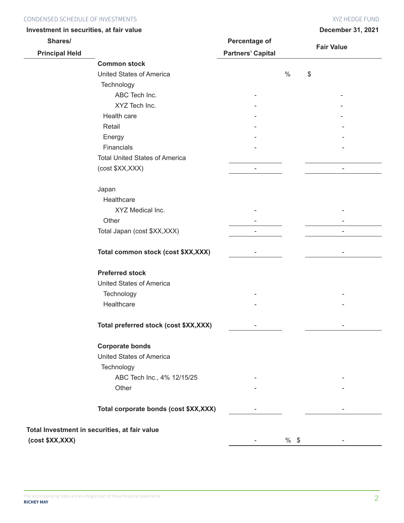# Condensed Schedule of Investments XYZ HEDGE FUND

| <b>December 31, 2021</b> |  |
|--------------------------|--|

| Investment in securities, at fair value |                                               |                          |        | December 31, 2021 |
|-----------------------------------------|-----------------------------------------------|--------------------------|--------|-------------------|
| Shares/                                 |                                               | Percentage of            |        |                   |
| <b>Principal Held</b>                   |                                               | <b>Partners' Capital</b> |        | <b>Fair Value</b> |
|                                         | <b>Common stock</b>                           |                          |        |                   |
|                                         | United States of America                      |                          | $\%$   | \$                |
|                                         | Technology                                    |                          |        |                   |
|                                         | ABC Tech Inc.                                 |                          |        |                   |
|                                         | XYZ Tech Inc.                                 |                          |        |                   |
|                                         | Health care                                   |                          |        |                   |
|                                         | Retail                                        |                          |        |                   |
|                                         | Energy                                        |                          |        |                   |
|                                         | Financials                                    |                          |        |                   |
|                                         | <b>Total United States of America</b>         |                          |        |                   |
|                                         | (cost \$XX, XXX)                              | $\blacksquare$           |        | $\blacksquare$    |
|                                         | Japan                                         |                          |        |                   |
|                                         | Healthcare                                    |                          |        |                   |
|                                         | XYZ Medical Inc.                              |                          |        |                   |
|                                         | Other                                         |                          |        |                   |
|                                         | Total Japan (cost \$XX, XXX)                  |                          |        |                   |
|                                         | Total common stock (cost \$XX,XXX)            |                          |        |                   |
|                                         | <b>Preferred stock</b>                        |                          |        |                   |
|                                         | <b>United States of America</b>               |                          |        |                   |
|                                         | Technology                                    |                          |        |                   |
|                                         | Healthcare                                    |                          |        |                   |
|                                         | Total preferred stock (cost \$XX,XXX)         |                          |        |                   |
|                                         | <b>Corporate bonds</b>                        |                          |        |                   |
|                                         | United States of America                      |                          |        |                   |
|                                         | Technology                                    |                          |        |                   |
|                                         | ABC Tech Inc., 4% 12/15/25                    |                          |        |                   |
|                                         | Other                                         |                          |        |                   |
|                                         | Total corporate bonds (cost \$XX,XXX)         |                          |        |                   |
|                                         | Total Investment in securities, at fair value |                          |        |                   |
| (cost \$XX, XXX)                        |                                               |                          | $%$ \$ |                   |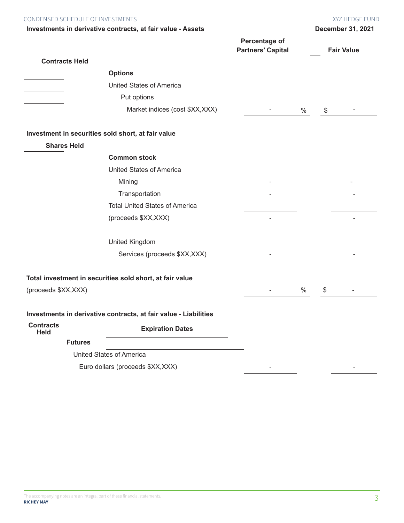| CONDENSED SCHEDULE OF INVESTMENTS |                                                                  |                                           |               | XYZ HEDGE FUND           |
|-----------------------------------|------------------------------------------------------------------|-------------------------------------------|---------------|--------------------------|
|                                   | Investments in derivative contracts, at fair value - Assets      |                                           |               | <b>December 31, 2021</b> |
|                                   |                                                                  | Percentage of<br><b>Partners' Capital</b> |               | <b>Fair Value</b>        |
| <b>Contracts Held</b>             |                                                                  |                                           |               |                          |
|                                   | <b>Options</b>                                                   |                                           |               |                          |
|                                   | <b>United States of America</b>                                  |                                           |               |                          |
|                                   | Put options                                                      |                                           |               |                          |
|                                   | Market indices (cost \$XX, XXX)                                  |                                           | $\%$          | \$                       |
|                                   | Investment in securities sold short, at fair value               |                                           |               |                          |
| <b>Shares Held</b>                |                                                                  |                                           |               |                          |
|                                   | <b>Common stock</b>                                              |                                           |               |                          |
|                                   | <b>United States of America</b>                                  |                                           |               |                          |
|                                   | Mining                                                           |                                           |               |                          |
|                                   | Transportation                                                   |                                           |               |                          |
|                                   | <b>Total United States of America</b>                            |                                           |               |                          |
|                                   | (proceeds \$XX, XXX)                                             |                                           |               |                          |
|                                   | United Kingdom                                                   |                                           |               |                          |
|                                   | Services (proceeds \$XX, XXX)                                    |                                           |               |                          |
|                                   | Total investment in securities sold short, at fair value         |                                           |               |                          |
| (proceeds \$XX, XXX)              |                                                                  |                                           | $\frac{0}{0}$ | \$                       |
|                                   | Investments in derivative contracts, at fair value - Liabilities |                                           |               |                          |
| <b>Contracts</b><br><b>Held</b>   | <b>Expiration Dates</b>                                          |                                           |               |                          |
| <b>Futures</b>                    |                                                                  |                                           |               |                          |
|                                   | <b>United States of America</b>                                  |                                           |               |                          |
|                                   | Euro dollars (proceeds \$XX, XXX)                                |                                           |               |                          |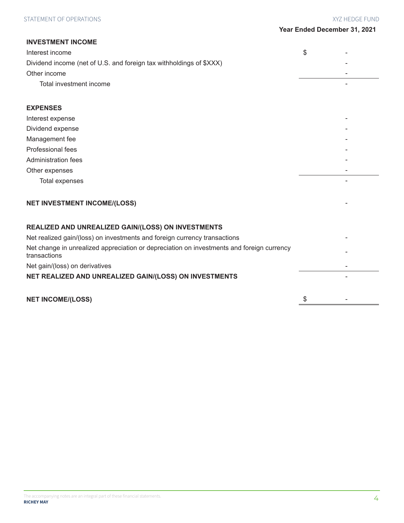| <b>INVESTMENT INCOME</b>                                                                                  |    |
|-----------------------------------------------------------------------------------------------------------|----|
| Interest income                                                                                           | \$ |
| Dividend income (net of U.S. and foreign tax withholdings of \$XXX)                                       |    |
| Other income                                                                                              |    |
| Total investment income                                                                                   |    |
| <b>EXPENSES</b>                                                                                           |    |
| Interest expense                                                                                          |    |
| Dividend expense                                                                                          |    |
| Management fee                                                                                            |    |
| Professional fees                                                                                         |    |
| Administration fees                                                                                       |    |
| Other expenses                                                                                            |    |
| <b>Total expenses</b>                                                                                     |    |
| <b>NET INVESTMENT INCOME/(LOSS)</b>                                                                       |    |
| REALIZED AND UNREALIZED GAIN/(LOSS) ON INVESTMENTS                                                        |    |
| Net realized gain/(loss) on investments and foreign currency transactions                                 |    |
| Net change in unrealized appreciation or depreciation on investments and foreign currency<br>transactions |    |
| Net gain/(loss) on derivatives                                                                            |    |
| NET REALIZED AND UNREALIZED GAIN/(LOSS) ON INVESTMENTS                                                    |    |
| <b>NET INCOME/(LOSS)</b>                                                                                  | \$ |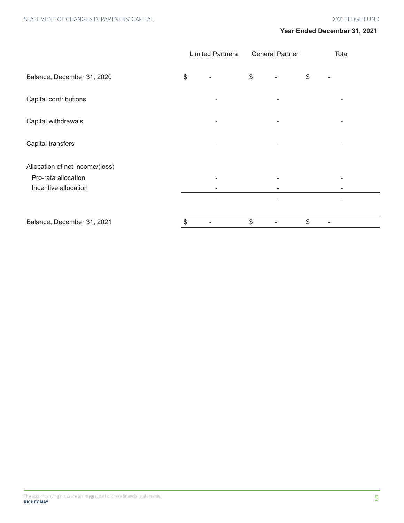|                                 | <b>Limited Partners</b> | <b>General Partner</b>   |                      | Total |
|---------------------------------|-------------------------|--------------------------|----------------------|-------|
| Balance, December 31, 2020      | \$                      | \$                       | \$                   |       |
| Capital contributions           | -                       |                          |                      |       |
| Capital withdrawals             | -                       |                          |                      |       |
| Capital transfers               | $\qquad \qquad -$       | $\overline{\phantom{a}}$ |                      |       |
| Allocation of net income/(loss) |                         |                          |                      |       |
| Pro-rata allocation             |                         |                          |                      |       |
| Incentive allocation            |                         |                          |                      |       |
|                                 | -                       | ۰                        |                      |       |
| Balance, December 31, 2021      | \$                      | \$                       | \$<br>$\overline{a}$ |       |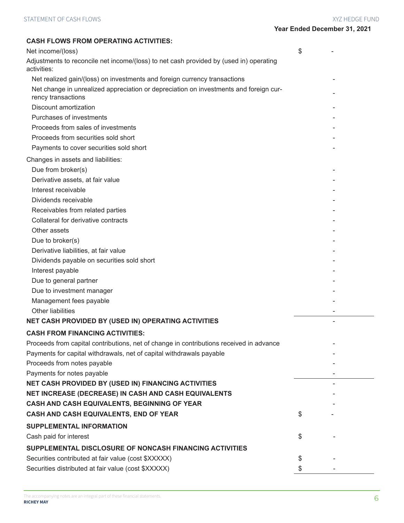| <b>CASH FLOWS FROM OPERATING ACTIVITIES:</b>                                                                |    |
|-------------------------------------------------------------------------------------------------------------|----|
| Net income/(loss)                                                                                           | \$ |
| Adjustments to reconcile net income/(loss) to net cash provided by (used in) operating<br>activities:       |    |
| Net realized gain/(loss) on investments and foreign currency transactions                                   |    |
| Net change in unrealized appreciation or depreciation on investments and foreign cur-<br>rency transactions |    |
| Discount amortization                                                                                       |    |
| Purchases of investments                                                                                    |    |
| Proceeds from sales of investments                                                                          |    |
| Proceeds from securities sold short                                                                         |    |
| Payments to cover securities sold short                                                                     |    |
| Changes in assets and liabilities:                                                                          |    |
| Due from broker(s)                                                                                          |    |
| Derivative assets, at fair value                                                                            |    |
| Interest receivable                                                                                         |    |
| Dividends receivable                                                                                        |    |
| Receivables from related parties                                                                            |    |
| Collateral for derivative contracts                                                                         |    |
| Other assets                                                                                                |    |
| Due to broker(s)                                                                                            |    |
| Derivative liabilities, at fair value                                                                       |    |
| Dividends payable on securities sold short                                                                  |    |
| Interest payable                                                                                            |    |
| Due to general partner                                                                                      |    |
| Due to investment manager                                                                                   |    |
| Management fees payable                                                                                     |    |
| <b>Other liabilities</b>                                                                                    |    |
| NET CASH PROVIDED BY (USED IN) OPERATING ACTIVITIES                                                         |    |
| <b>CASH FROM FINANCING ACTIVITIES:</b>                                                                      |    |
| Proceeds from capital contributions, net of change in contributions received in advance                     |    |
| Payments for capital withdrawals, net of capital withdrawals payable                                        |    |
| Proceeds from notes payable                                                                                 |    |
| Payments for notes payable                                                                                  |    |
| NET CASH PROVIDED BY (USED IN) FINANCING ACTIVITIES                                                         |    |
| NET INCREASE (DECREASE) IN CASH AND CASH EQUIVALENTS                                                        |    |
| CASH AND CASH EQUIVALENTS, BEGINNING OF YEAR                                                                |    |
| CASH AND CASH EQUIVALENTS, END OF YEAR                                                                      | \$ |
| <b>SUPPLEMENTAL INFORMATION</b>                                                                             |    |
| Cash paid for interest                                                                                      | \$ |
| SUPPLEMENTAL DISCLOSURE OF NONCASH FINANCING ACTIVITIES                                                     |    |
| Securities contributed at fair value (cost \$XXXXX)                                                         | \$ |
| Securities distributed at fair value (cost \$XXXXX)                                                         | \$ |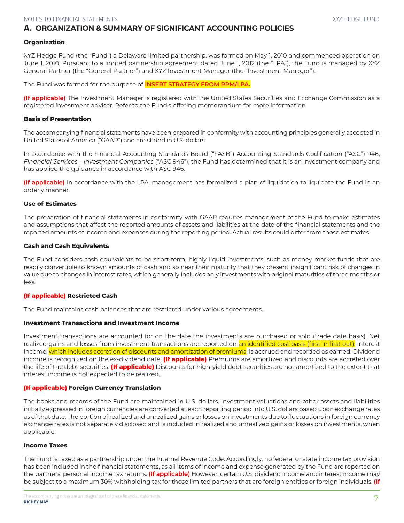# A. **ORGANIZATION & SUMMARY OF SIGNIFICANT ACCOUNTING POLICIES**

#### **Organization**

XYZ Hedge Fund (the "Fund") a Delaware limited partnership, was formed on May 1, 2010 and commenced operation on June 1, 2010. Pursuant to a limited partnership agreement dated June 1, 2012 (the "LPA"), the Fund is managed by XYZ General Partner (the "General Partner") and XYZ Investment Manager (the "Investment Manager").

The Fund was formed for the purpose of **INSERT STRATEGY FROM PPM/LPA.**

**(If applicable)** The Investment Manager is registered with the United States Securities and Exchange Commission as a registered investment adviser. Refer to the Fund's offering memorandum for more information.

#### **Basis of Presentation**

The accompanying financial statements have been prepared in conformity with accounting principles generally accepted in United States of America ("GAAP") and are stated in U.S. dollars.

In accordance with the Financial Accounting Standards Board ("FASB") Accounting Standards Codification ("ASC") 946, *Financial Services – Investment Companies* ("ASC 946"), the Fund has determined that it is an investment company and has applied the guidance in accordance with ASC 946.

**(If applicable)** In accordance with the LPA, management has formalized a plan of liquidation to liquidate the Fund in an orderly manner.

#### **Use of Estimates**

The preparation of financial statements in conformity with GAAP requires management of the Fund to make estimates and assumptions that affect the reported amounts of assets and liabilities at the date of the financial statements and the reported amounts of income and expenses during the reporting period. Actual results could differ from those estimates.

#### **Cash and Cash Equivalents**

The Fund considers cash equivalents to be short-term, highly liquid investments, such as money market funds that are readily convertible to known amounts of cash and so near their maturity that they present insignificant risk of changes in value due to changes in interest rates, which generally includes only investments with original maturities of three months or less.

#### **(If applicable) Restricted Cash**

The Fund maintains cash balances that are restricted under various agreements.

#### **Investment Transactions and Investment Income**

Investment transactions are accounted for on the date the investments are purchased or sold (trade date basis). Net realized gains and losses from investment transactions are reported on an identified cost basis (first in first out). Interest income, which includes accretion of discounts and amortization of premiums, is accrued and recorded as earned. Dividend income is recognized on the ex-dividend date. **(If applicable)** Premiums are amortized and discounts are accreted over the life of the debt securities. **(If applicable)** Discounts for high-yield debt securities are not amortized to the extent that interest income is not expected to be realized.

#### **(If applicable) Foreign Currency Translation**

The books and records of the Fund are maintained in U.S. dollars. Investment valuations and other assets and liabilities initially expressed in foreign currencies are converted at each reporting period into U.S. dollars based upon exchange rates as of that date. The portion of realized and unrealized gains or losses on investments due to fluctuations in foreign currency exchange rates is not separately disclosed and is included in realized and unrealized gains or losses on investments, when applicable.

#### **Income Taxes**

The Fund is taxed as a partnership under the Internal Revenue Code. Accordingly, no federal or state income tax provision has been included in the financial statements, as all items of income and expense generated by the Fund are reported on the partners' personal income tax returns. **(If applicable)** However, certain U.S. dividend income and interest income may be subject to a maximum 30% withholding tax for those limited partners that are foreign entities or foreign individuals. **(If**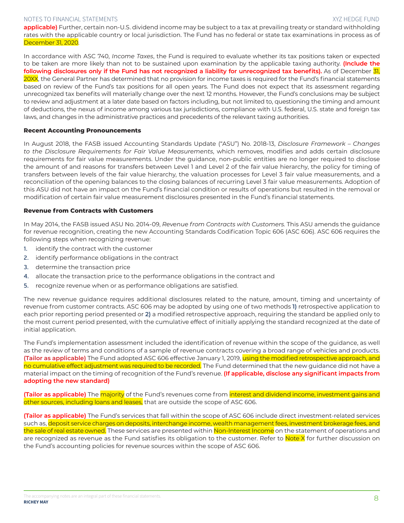**applicable)** Further, certain non-U.S. dividend income may be subject to a tax at prevailing treaty or standard withholding rates with the applicable country or local jurisdiction. The Fund has no federal or state tax examinations in process as of December 31, 2020.

In accordance with ASC 740, *Income Taxes*, the Fund is required to evaluate whether its tax positions taken or expected to be taken are more likely than not to be sustained upon examination by the applicable taxing authority. **(Include the following disclosures only if the Fund has not recognized a liability for unrecognized tax benefits).** As of December 31, 20XX, the General Partner has determined that no provision for income taxes is required for the Fund's financial statements based on review of the Fund's tax positions for all open years. The Fund does not expect that its assessment regarding unrecognized tax benefits will materially change over the next 12 months. However, the Fund's conclusions may be subject to review and adjustment at a later date based on factors including, but not limited to, questioning the timing and amount of deductions, the nexus of income among various tax jurisdictions, compliance with U.S. federal, U.S. state and foreign tax laws, and changes in the administrative practices and precedents of the relevant taxing authorities.

#### **Recent Accounting Pronouncements**

In August 2018, the FASB issued Accounting Standards Update ("ASU") No. 2018-13, *Disclosure Framework – Changes to the Disclosure Requirements for Fair Value Measurements*, which removes, modifies and adds certain disclosure requirements for fair value measurements. Under the guidance, non-public entities are no longer required to disclose the amount of and reasons for transfers between Level 1 and Level 2 of the fair value hierarchy, the policy for timing of transfers between levels of the fair value hierarchy, the valuation processes for Level 3 fair value measurements, and a reconciliation of the opening balances to the closing balances of recurring Level 3 fair value measurements. Adoption of this ASU did not have an impact on the Fund's financial condition or results of operations but resulted in the removal or modification of certain fair value measurement disclosures presented in the Fund's financial statements.

#### **Revenue from Contracts with Customers**

In May 2014, the FASB issued ASU No. 2014-09, *Revenue from Contracts with Customers.* This ASU amends the guidance for revenue recognition, creating the new Accounting Standards Codification Topic 606 (ASC 606). ASC 606 requires the following steps when recognizing revenue:

- **1.** identify the contract with the customer
- **2.** identify performance obligations in the contract
- **3.** determine the transaction price
- **4.** allocate the transaction price to the performance obligations in the contract and
- **5.** recognize revenue when or as performance obligations are satisfied.

The new revenue guidance requires additional disclosures related to the nature, amount, timing and uncertainty of revenue from customer contracts. ASC 606 may be adopted by using one of two methods **1)** retrospective application to each prior reporting period presented or **2)** a modified retrospective approach, requiring the standard be applied only to the most current period presented, with the cumulative effect of initially applying the standard recognized at the date of initial application.

The Fund's implementation assessment included the identification of revenue within the scope of the guidance, as well as the review of terms and conditions of a sample of revenue contracts covering a broad range of vehicles and products. **(Tailor as applicable)** The Fund adopted ASC 606 effective January 1, 2019, using the modified retrospective approach, and no cumulative effect adjustment was required to be recorded. The Fund determined that the new guidance did not have a material impact on the timing of recognition of the Fund's revenue. **(If applicable, disclose any significant impacts from adopting the new standard)**

**(Tailor as applicable)** The majority of the Fund's revenues come from interest and dividend income, investment gains and other sources, including loans and leases, that are outside the scope of ASC 606.

**(Tailor as applicable)** The Fund's services that fall within the scope of ASC 606 include direct investment-related services such as, deposit service charges on deposits, interchange income, wealth management fees, investment brokerage fees, and the sale of real estate owned. These services are presented within Non-Interest Income on the statement of operations and are recognized as revenue as the Fund satisfies its obligation to the customer. Refer to Note X for further discussion on the Fund's accounting policies for revenue sources within the scope of ASC 606.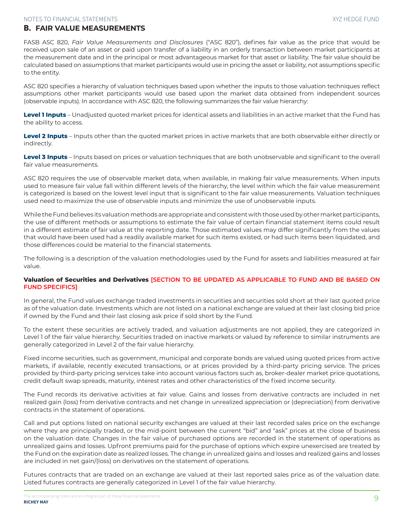# B. **FAIR VALUE MEASUREMENTS**

FASB ASC 820, *Fair Value Measurements and Disclosures* ("ASC 820"), defines fair value as the price that would be received upon sale of an asset or paid upon transfer of a liability in an orderly transaction between market participants at the measurement date and in the principal or most advantageous market for that asset or liability. The fair value should be calculated based on assumptions that market participants would use in pricing the asset or liability, not assumptions specific to the entity.

ASC 820 specifies a hierarchy of valuation techniques based upon whether the inputs to those valuation techniques reflect assumptions other market participants would use based upon the market data obtained from independent sources (observable inputs). In accordance with ASC 820, the following summarizes the fair value hierarchy:

**Level 1 Inputs** – Unadjusted quoted market prices for identical assets and liabilities in an active market that the Fund has the ability to access.

**Level 2 Inputs** – Inputs other than the quoted market prices in active markets that are both observable either directly or indirectly.

**Level 3 Inputs** – Inputs based on prices or valuation techniques that are both unobservable and significant to the overall fair value measurements.

ASC 820 requires the use of observable market data, when available, in making fair value measurements. When inputs used to measure fair value fall within different levels of the hierarchy, the level within which the fair value measurement is categorized is based on the lowest level input that is significant to the fair value measurements. Valuation techniques used need to maximize the use of observable inputs and minimize the use of unobservable inputs.

While the Fund believes its valuation methods are appropriate and consistent with those used by other market participants, the use of different methods or assumptions to estimate the fair value of certain financial statement items could result in a different estimate of fair value at the reporting date. Those estimated values may differ significantly from the values that would have been used had a readily available market for such items existed, or had such items been liquidated, and those differences could be material to the financial statements.

The following is a description of the valuation methodologies used by the Fund for assets and liabilities measured at fair value.

## **Valuation of Securities and Derivatives [SECTION TO BE UPDATED AS APPLICABLE TO FUND AND BE BASED ON FUND SPECIFICS]**

In general, the Fund values exchange traded investments in securities and securities sold short at their last quoted price as of the valuation date. Investments which are not listed on a national exchange are valued at their last closing bid price if owned by the Fund and their last closing ask price if sold short by the Fund.

To the extent these securities are actively traded, and valuation adjustments are not applied, they are categorized in Level 1 of the fair value hierarchy. Securities traded on inactive markets or valued by reference to similar instruments are generally categorized in Level 2 of the fair value hierarchy.

Fixed income securities, such as government, municipal and corporate bonds are valued using quoted prices from active markets, if available, recently executed transactions, or at prices provided by a third-party pricing service. The prices provided by third-party pricing services take into account various factors such as, broker-dealer market price quotations, credit default swap spreads, maturity, interest rates and other characteristics of the fixed income security.

The Fund records its derivative activities at fair value. Gains and losses from derivative contracts are included in net realized gain (loss) from derivative contracts and net change in unrealized appreciation or (depreciation) from derivative contracts in the statement of operations.

Call and put options listed on national security exchanges are valued at their last recorded sales price on the exchange where they are principally traded, or the mid-point between the current "bid" and "ask" prices at the close of business on the valuation date. Changes in the fair value of purchased options are recorded in the statement of operations as unrealized gains and losses. Upfront premiums paid for the purchase of options which expire unexercised are treated by the Fund on the expiration date as realized losses. The change in unrealized gains and losses and realized gains and losses are included in net gain/(loss) on derivatives on the statement of operations.

Futures contracts that are traded on an exchange are valued at their last reported sales price as of the valuation date. Listed futures contracts are generally categorized in Level 1 of the fair value hierarchy.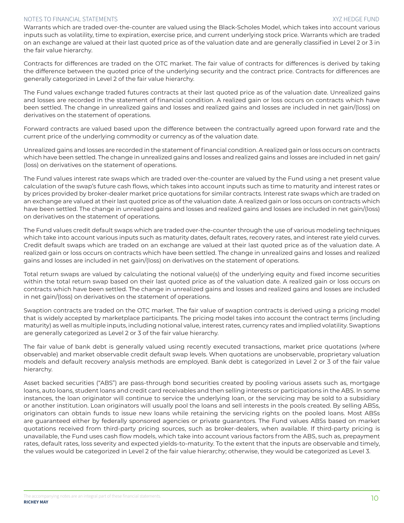Warrants which are traded over-the-counter are valued using the Black-Scholes Model, which takes into account various inputs such as volatility, time to expiration, exercise price, and current underlying stock price. Warrants which are traded on an exchange are valued at their last quoted price as of the valuation date and are generally classified in Level 2 or 3 in the fair value hierarchy.

Contracts for differences are traded on the OTC market. The fair value of contracts for differences is derived by taking the difference between the quoted price of the underlying security and the contract price. Contracts for differences are generally categorized in Level 2 of the fair value hierarchy.

The Fund values exchange traded futures contracts at their last quoted price as of the valuation date. Unrealized gains and losses are recorded in the statement of financial condition. A realized gain or loss occurs on contracts which have been settled. The change in unrealized gains and losses and realized gains and losses are included in net gain/(loss) on derivatives on the statement of operations.

Forward contracts are valued based upon the difference between the contractually agreed upon forward rate and the current price of the underlying commodity or currency as of the valuation date.

Unrealized gains and losses are recorded in the statement of financial condition. A realized gain or loss occurs on contracts which have been settled. The change in unrealized gains and losses and realized gains and losses are included in net gain/ (loss) on derivatives on the statement of operations.

The Fund values interest rate swaps which are traded over-the-counter are valued by the Fund using a net present value calculation of the swap's future cash flows, which takes into account inputs such as time to maturity and interest rates or by prices provided by broker-dealer market price quotations for similar contracts. Interest rate swaps which are traded on an exchange are valued at their last quoted price as of the valuation date. A realized gain or loss occurs on contracts which have been settled. The change in unrealized gains and losses and realized gains and losses are included in net gain/(loss) on derivatives on the statement of operations.

The Fund values credit default swaps which are traded over-the-counter through the use of various modeling techniques which take into account various inputs such as maturity dates, default rates, recovery rates, and interest rate yield curves. Credit default swaps which are traded on an exchange are valued at their last quoted price as of the valuation date. A realized gain or loss occurs on contracts which have been settled. The change in unrealized gains and losses and realized gains and losses are included in net gain/(loss) on derivatives on the statement of operations.

Total return swaps are valued by calculating the notional value(s) of the underlying equity and fixed income securities within the total return swap based on their last quoted price as of the valuation date. A realized gain or loss occurs on contracts which have been settled. The change in unrealized gains and losses and realized gains and losses are included in net gain/(loss) on derivatives on the statement of operations.

Swaption contracts are traded on the OTC market. The fair value of swaption contracts is derived using a pricing model that is widely accepted by marketplace participants. The pricing model takes into account the contract terms (including maturity) as well as multiple inputs, including notional value, interest rates, currency rates and implied volatility. Swaptions are generally categorized as Level 2 or 3 of the fair value hierarchy.

The fair value of bank debt is generally valued using recently executed transactions, market price quotations (where observable) and market observable credit default swap levels. When quotations are unobservable, proprietary valuation models and default recovery analysis methods are employed. Bank debt is categorized in Level 2 or 3 of the fair value hierarchy.

Asset backed securities ("ABS") are pass-through bond securities created by pooling various assets such as, mortgage loans, auto loans, student loans and credit card receivables and then selling interests or participations in the ABS. In some instances, the loan originator will continue to service the underlying loan, or the servicing may be sold to a subsidiary or another institution. Loan originators will usually pool the loans and sell interests in the pools created. By selling ABSs, originators can obtain funds to issue new loans while retaining the servicing rights on the pooled loans. Most ABSs are guaranteed either by federally sponsored agencies or private guarantors. The Fund values ABSs based on market quotations received from third-party pricing sources, such as broker-dealers, when available. If third-party pricing is unavailable, the Fund uses cash flow models, which take into account various factors from the ABS, such as, prepayment rates, default rates, loss severity and expected yields-to-maturity. To the extent that the inputs are observable and timely, the values would be categorized in Level 2 of the fair value hierarchy; otherwise, they would be categorized as Level 3.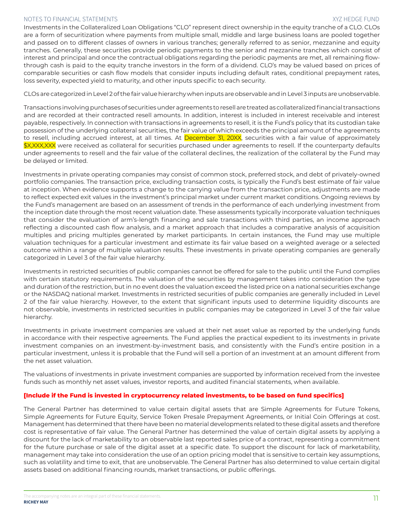Investments in the Collateralized Loan Obligations "CLO" represent direct ownership in the equity tranche of a CLO. CLOs are a form of securitization where payments from multiple small, middle and large business loans are pooled together and passed on to different classes of owners in various tranches; generally referred to as senior, mezzanine and equity tranches. Generally, these securities provide periodic payments to the senior and mezzanine tranches which consist of interest and principal and once the contractual obligations regarding the periodic payments are met, all remaining flowthrough cash is paid to the equity tranche investors in the form of a dividend. CLO's may be valued based on prices of comparable securities or cash flow models that consider inputs including default rates, conditional prepayment rates, loss severity, expected yield to maturity, and other inputs specific to each security.

CLOs are categorized in Level 2 of the fair value hierarchy when inputs are observable and in Level 3 inputs are unobservable.

Transactions involvingpurchasesof securitiesunderagreements toresellaretreatedas collateralizedfinancial transactions and are recorded at their contracted resell amounts. In addition, interest is included in interest receivable and interest payable, respectively. In connection with transactions in agreements to resell, it is the Fund's policy that its custodian take possession of the underlying collateral securities, the fair value of which exceeds the principal amount of the agreements to resell, including accrued interest, at all times. At December 31, 20XX, securities with a fair value of approximately \$X,XXX,XXX were received as collateral for securities purchased under agreements to resell. If the counterparty defaults under agreements to resell and the fair value of the collateral declines, the realization of the collateral by the Fund may be delayed or limited.

Investments in private operating companies may consist of common stock, preferred stock, and debt of privately-owned portfolio companies. The transaction price, excluding transaction costs, is typically the Fund's best estimate of fair value at inception. When evidence supports a change to the carrying value from the transaction price, adjustments are made to reflect expected exit values in the investment's principal market under current market conditions. Ongoing reviews by the Fund's management are based on an assessment of trends in the performance of each underlying investment from the inception date through the most recent valuation date. These assessments typically incorporate valuation techniques that consider the evaluation of arm's-length financing and sale transactions with third parties, an income approach reflecting a discounted cash flow analysis, and a market approach that includes a comparative analysis of acquisition multiples and pricing multiples generated by market participants. In certain instances, the Fund may use multiple valuation techniques for a particular investment and estimate its fair value based on a weighted average or a selected outcome within a range of multiple valuation results. These investments in private operating companies are generally categorized in Level 3 of the fair value hierarchy.

Investments in restricted securities of public companies cannot be offered for sale to the public until the Fund complies with certain statutory requirements. The valuation of the securities by management takes into consideration the type and duration of the restriction, but in no event does the valuation exceed the listed price on a national securities exchange or the NASDAQ national market. Investments in restricted securities of public companies are generally included in Level 2 of the fair value hierarchy. However, to the extent that significant inputs used to determine liquidity discounts are not observable, investments in restricted securities in public companies may be categorized in Level 3 of the fair value hierarchy.

Investments in private investment companies are valued at their net asset value as reported by the underlying funds in accordance with their respective agreements. The Fund applies the practical expedient to its investments in private investment companies on an investment-by-investment basis, and consistently with the Fund's entire position in a particular investment, unless it is probable that the Fund will sell a portion of an investment at an amount different from the net asset valuation.

The valuations of investments in private investment companies are supported by information received from the investee funds such as monthly net asset values, investor reports, and audited financial statements, when available.

## **[Include if the Fund is invested in cryptocurrency related investments, to be based on fund specifics]**

The General Partner has determined to value certain digital assets that are Simple Agreements for Future Tokens, Simple Agreements for Future Equity, Service Token Presale Prepayment Agreements, or Initial Coin Offerings at cost. Management has determined that there have been no material developments related to these digital assets and therefore cost is representative of fair value. The General Partner has determined the value of certain digital assets by applying a discount for the lack of marketability to an observable last reported sales price of a contract, representing a commitment for the future purchase or sale of the digital asset at a specific date. To support the discount for lack of marketability, management may take into consideration the use of an option pricing model that is sensitive to certain key assumptions, such as volatility and time to exit, that are unobservable. The General Partner has also determined to value certain digital assets based on additional financing rounds, market transactions, or public offerings.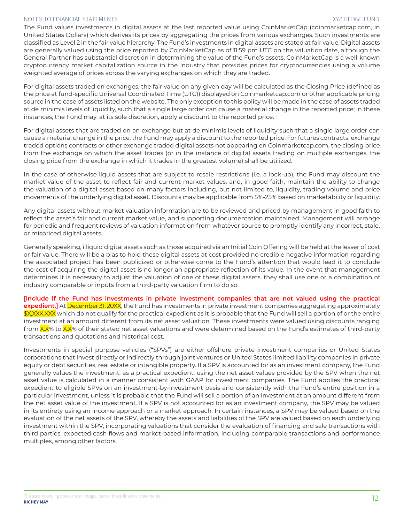The Fund values investments in digital assets at the last reported value using CoinMarketCap (coinmarketcap.com, in United States Dollars) which derives its prices by aggregating the prices from various exchanges. Such investments are classified as Level 2 in the fair value hierarchy. The Fund's investments in digital assets are stated at fair value. Digital assets are generally valued using the price reported by CoinMarketCap as of 11:59 pm UTC on the valuation date, although the General Partner has substantial discretion in determining the value of the Fund's assets. CoinMarketCap is a well-known cryptocurrency market capitalization source in the industry that provides prices for cryptocurrencies using a volume weighted average of prices across the varying exchanges on which they are traded.

For digital assets traded on exchanges, the fair value on any given day will be calculated as the Closing Price (defined as the price at fund-specific Universal Coordinated Time (UTC)) displayed on Coinmarketcap.com or other applicable pricing source in the case of assets listed on the website. The only exception to this policy will be made in the case of assets traded at de minimis levels of liquidity, such that a single large order can cause a material change in the reported price; in these instances, the Fund may, at its sole discretion, apply a discount to the reported price.

For digital assets that are traded on an exchange but at de minimis levels of liquidity such that a single large order can cause a material change in the price, the Fund may apply a discount to the reported price. For futures contracts, exchange traded options contracts or other exchange traded digital assets not appearing on Coinmarketcap.com, the closing price from the exchange on which the asset trades (or in the instance of digital assets trading on multiple exchanges, the closing price from the exchange in which it trades in the greatest volume) shall be utilized.

In the case of otherwise liquid assets that are subject to resale restrictions (i.e. a lock-up), the Fund may discount the market value of the asset to reflect fair and current market values, and, in good faith, maintain the ability to change the valuation of a digital asset based on many factors including, but not limited to, liquidity, trading volume and price movements of the underlying digital asset. Discounts may be applicable from 5%-25% based on marketability or liquidity.

Any digital assets without market valuation information are to be reviewed and priced by management in good faith to reflect the asset's fair and current market value, and supporting documentation maintained. Management will arrange for periodic and frequent reviews of valuation information from whatever source to promptly identify any incorrect, stale, or mispriced digital assets.

Generally speaking, illiquid digital assets such as those acquired via an Initial Coin Offering will be held at the lesser of cost or fair value. There will be a bias to hold these digital assets at cost provided no credible negative information regarding the associated project has been publicized or otherwise come to the Fund's attention that would lead it to conclude the cost of acquiring the digital asset is no longer an appropriate reflection of its value. In the event that management determines it is necessary to adjust the valuation of one of these digital assets, they shall use one or a combination of industry comparable or inputs from a third-party valuation firm to do so.

**[Include if the Fund has investments in private investment companies that are not valued using the practical expedient.]** At December 31, 20XX, the Fund has investments in private investment companies aggregating approximately \$X,XXX,XXX which do not qualify for the practical expedient as it is probable that the Fund will sell a portion of or the entire investment at an amount different from its net asset valuation. These investments were valued using discounts ranging from XX% to XX% of their stated net asset valuations and were determined based on the Fund's estimates of third-party transactions and quotations and historical cost.

Investments in special purpose vehicles ("SPVs") are either offshore private investment companies or United States corporations that invest directly or indirectly through joint ventures or United States limited liability companies in private equity or debt securities, real estate or intangible property. If a SPV is accounted for as an investment company, the Fund generally values the investment, as a practical expedient, using the net asset values provided by the SPV when the net asset value is calculated in a manner consistent with GAAP for investment companies. The Fund applies the practical expedient to eligible SPVs on an investment-by-investment basis and consistently with the Fund's entire position in a particular investment, unless it is probable that the Fund will sell a portion of an investment at an amount different from the net asset value of the investment. If a SPV is not accounted for as an investment company, the SPV may be valued in its entirety using an income approach or a market approach. In certain instances, a SPV may be valued based on the evaluation of the net assets of the SPV, whereby the assets and liabilities of the SPV are valued based on each underlying investment within the SPV, incorporating valuations that consider the evaluation of financing and sale transactions with third parties, expected cash flows and market-based information, including comparable transactions and performance multiples, among other factors.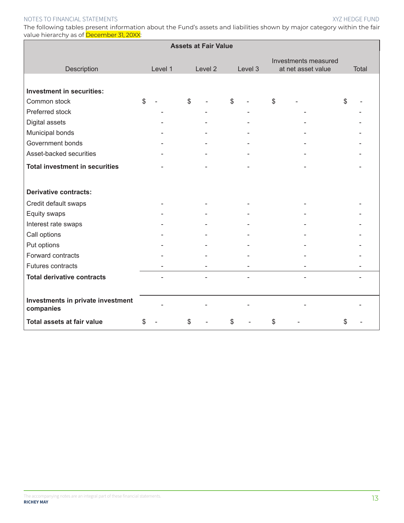The following tables present information about the Fund's assets and liabilities shown by major category within the fair value hierarchy as of December 31, 20XX:

|                                                | <b>Assets at Fair Value</b> |         |              |         |    |                          |    |  |    |       |
|------------------------------------------------|-----------------------------|---------|--------------|---------|----|--------------------------|----|--|----|-------|
| Investments measured<br>at net asset value     |                             |         |              |         |    |                          |    |  |    |       |
| Description                                    |                             | Level 1 |              | Level 2 |    | Level 3                  |    |  |    | Total |
|                                                |                             |         |              |         |    |                          |    |  |    |       |
| <b>Investment in securities:</b>               |                             |         |              |         |    |                          |    |  |    |       |
| Common stock                                   | $\mathbb{S}$                |         | $\mathbb{S}$ |         | \$ |                          | \$ |  | \$ |       |
| Preferred stock                                |                             |         |              |         |    | $\overline{\phantom{a}}$ |    |  |    |       |
| Digital assets                                 |                             |         |              |         |    |                          |    |  |    |       |
| Municipal bonds                                |                             |         |              |         |    |                          |    |  |    |       |
| Government bonds                               |                             |         |              |         |    |                          |    |  |    |       |
| Asset-backed securities                        |                             |         |              |         |    |                          |    |  |    |       |
| <b>Total investment in securities</b>          |                             |         |              |         |    |                          |    |  |    |       |
|                                                |                             |         |              |         |    |                          |    |  |    |       |
| <b>Derivative contracts:</b>                   |                             |         |              |         |    |                          |    |  |    |       |
| Credit default swaps                           |                             |         |              |         |    |                          |    |  |    |       |
| Equity swaps                                   |                             |         |              |         |    |                          |    |  |    |       |
| Interest rate swaps                            |                             |         |              |         |    |                          |    |  |    |       |
| Call options                                   |                             |         |              |         |    |                          |    |  |    |       |
| Put options                                    |                             |         |              |         |    |                          |    |  |    |       |
| Forward contracts                              |                             |         |              |         |    |                          |    |  |    |       |
| Futures contracts                              |                             |         |              |         |    |                          |    |  |    |       |
| <b>Total derivative contracts</b>              |                             |         |              |         |    | $\blacksquare$           |    |  |    |       |
|                                                |                             |         |              |         |    |                          |    |  |    |       |
| Investments in private investment<br>companies |                             |         |              |         |    |                          |    |  |    |       |
| Total assets at fair value                     | \$                          |         | \$           |         | \$ |                          | \$ |  | \$ |       |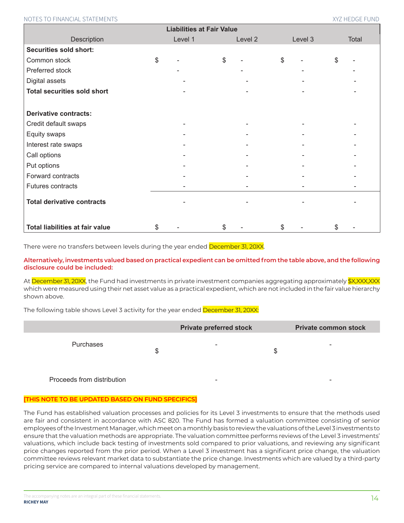| <b>Liabilities at Fair Value</b>       |    |         |    |         |              |         |    |       |
|----------------------------------------|----|---------|----|---------|--------------|---------|----|-------|
| Description                            |    | Level 1 |    | Level 2 |              | Level 3 |    | Total |
| <b>Securities sold short:</b>          |    |         |    |         |              |         |    |       |
| Common stock                           | \$ |         | \$ |         | $\mathbb{S}$ |         | \$ |       |
| Preferred stock                        |    |         |    |         |              |         |    |       |
| Digital assets                         |    |         |    |         |              |         |    |       |
| <b>Total securities sold short</b>     |    |         |    |         |              |         |    |       |
|                                        |    |         |    |         |              |         |    |       |
| <b>Derivative contracts:</b>           |    |         |    |         |              |         |    |       |
| Credit default swaps                   |    |         |    |         |              |         |    |       |
| Equity swaps                           |    |         |    |         |              |         |    |       |
| Interest rate swaps                    |    |         |    |         |              |         |    |       |
| Call options                           |    |         |    |         |              |         |    |       |
| Put options                            |    |         |    |         |              |         |    |       |
| Forward contracts                      |    |         |    |         |              |         |    |       |
| Futures contracts                      |    |         |    |         |              |         |    |       |
| <b>Total derivative contracts</b>      |    |         |    |         |              |         |    |       |
| <b>Total liabilities at fair value</b> | \$ |         | \$ |         | \$           |         | \$ |       |

There were no transfers between levels during the year ended December 31, 20XX.

**Alternatively, investments valued based on practical expedient can be omitted from the table above, and the following disclosure could be included:**

At December 31, 20XX, the Fund had investments in private investment companies aggregating approximately \$X,XXX,XXX which were measured using their net asset value as a practical expedient, which are not included in the fair value hierarchy shown above.

The following table shows Level 3 activity for the year ended December 31, 20XX:

|                            |   | <b>Private preferred stock</b> |    | <b>Private common stock</b> |
|----------------------------|---|--------------------------------|----|-----------------------------|
| Purchases                  | S | $\overline{\phantom{0}}$       | ۰D | -                           |
| Proceeds from distribution |   | -                              |    | -                           |

## **[THIS NOTE TO BE UPDATED BASED ON FUND SPECIFICS]**

The Fund has established valuation processes and policies for its Level 3 investments to ensure that the methods used are fair and consistent in accordance with ASC 820. The Fund has formed a valuation committee consisting of senior employees of the Investment Manager, which meet on a monthly basis to review the valuations of the Level 3 investments to ensure that the valuation methods are appropriate. The valuation committee performs reviews of the Level 3 investments' valuations, which include back testing of investments sold compared to prior valuations, and reviewing any significant price changes reported from the prior period. When a Level 3 investment has a significant price change, the valuation committee reviews relevant market data to substantiate the price change. Investments which are valued by a third-party pricing service are compared to internal valuations developed by management.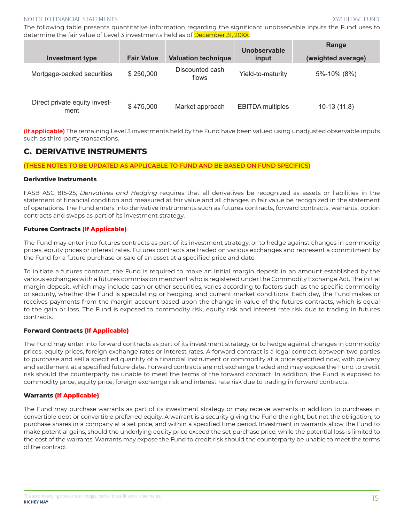The following table presents quantitative information regarding the significant unobservable inputs the Fund uses to determine the fair value of Level 3 investments held as of December 31, 20XX:

| <b>Investment type</b>                | <b>Fair Value</b> | <b>Valuation technique</b> | Unobservable<br>input   | Range<br>(weighted average) |
|---------------------------------------|-------------------|----------------------------|-------------------------|-----------------------------|
| Mortgage-backed securities            | \$250,000         | Discounted cash<br>flows   | Yield-to-maturity       | 5%-10% (8%)                 |
| Direct private equity invest-<br>ment | \$475,000         | Market approach            | <b>EBITDA</b> multiples | $10-13(11.8)$               |

**(If applicable)** The remaining Level 3 investments held by the Fund have been valued using unadjusted observable inputs such as third-party transactions.

# **C. DERIVATIVE INSTRUMENTS**

**(THESE NOTES TO BE UPDATED AS APPLICABLE TO FUND AND BE BASED ON FUND SPECIFICS)**

#### **Derivative Instruments**

FASB ASC 815-25, *Derivatives and Hedging* requires that all derivatives be recognized as assets or liabilities in the statement of financial condition and measured at fair value and all changes in fair value be recognized in the statement of operations. The Fund enters into derivative instruments such as futures contracts, forward contracts, warrants, option contracts and swaps as part of its investment strategy.

#### **Futures Contracts (If Applicable)**

The Fund may enter into futures contracts as part of its investment strategy, or to hedge against changes in commodity prices, equity prices or interest rates. Futures contracts are traded on various exchanges and represent a commitment by the Fund for a future purchase or sale of an asset at a specified price and date.

To initiate a futures contract, the Fund is required to make an initial margin deposit in an amount established by the various exchanges with a futures commission merchant who is registered under the Commodity Exchange Act. The initial margin deposit, which may include cash or other securities, varies according to factors such as the specific commodity or security, whether the Fund is speculating or hedging, and current market conditions. Each day, the Fund makes or receives payments from the margin account based upon the change in value of the futures contracts, which is equal to the gain or loss. The Fund is exposed to commodity risk, equity risk and interest rate risk due to trading in futures contracts.

## **Forward Contracts (If Applicable)**

The Fund may enter into forward contracts as part of its investment strategy, or to hedge against changes in commodity prices, equity prices, foreign exchange rates or interest rates. A forward contract is a legal contract between two parties to purchase and sell a specified quantity of a financial instrument or commodity at a price specified now, with delivery and settlement at a specified future date. Forward contracts are not exchange traded and may expose the Fund to credit risk should the counterparty be unable to meet the terms of the forward contract. In addition, the Fund is exposed to commodity price, equity price, foreign exchange risk and interest rate risk due to trading in forward contracts.

## **Warrants (If Applicable)**

The Fund may purchase warrants as part of its investment strategy or may receive warrants in addition to purchases in convertible debt or convertible preferred equity. A warrant is a security giving the Fund the right, but not the obligation, to purchase shares in a company at a set price, and within a specified time period. Investment in warrants allow the Fund to make potential gains, should the underlying equity price exceed the set purchase price, while the potential loss is limited to the cost of the warrants. Warrants may expose the Fund to credit risk should the counterparty be unable to meet the terms of the contract.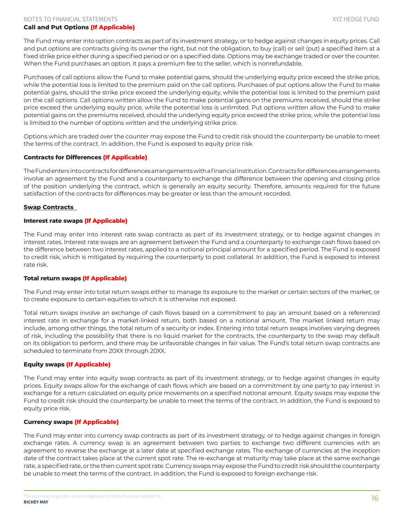#### **Call and Put Options (If Applicable)**

The Fund may enter into option contracts as part of its investment strategy, or to hedge against changes in equity prices. Call and put options are contracts giving its owner the right, but not the obligation, to buy (call) or sell (put) a specified item at a fixed strike price either during a specified period or on a specified date. Options may be exchange traded or over the counter. When the Fund purchases an option, it pays a premium fee to the seller, which is nonrefundable.

Purchases of call options allow the Fund to make potential gains, should the underlying equity price exceed the strike price, while the potential loss is limited to the premium paid on the call options. Purchases of put options allow the Fund to make potential gains, should the strike price exceed the underlying equity, while the potential loss is limited to the premium paid on the call options. Call options written allow the Fund to make potential gains on the premiums received, should the strike price exceed the underlying equity price, while the potential loss is unlimited. Put options written allow the Fund to make potential gains on the premiums received, should the underlying equity price exceed the strike price, while the potential loss is limited to the number of options written and the underlying strike price.

Options which are traded over the counter may expose the Fund to credit risk should the counterparty be unable to meet the terms of the contract. In addition, the Fund is exposed to equity price risk.

#### **Contracts for Differences (If Applicable)**

TheFundentersintocontractsfordifferencesarrangementswithafinancialinstitution.Contractsfordifferencesarrangements involve an agreement by the Fund and a counterparty to exchange the difference between the opening and closing price of the position underlying the contract, which is generally an equity security. Therefore, amounts required for the future satisfaction of the contracts for differences may be greater or less than the amount recorded.

#### **Swap Contracts**

#### **Interest rate swaps (If Applicable)**

The Fund may enter into interest rate swap contracts as part of its investment strategy, or to hedge against changes in interest rates. Interest rate swaps are an agreement between the Fund and a counterparty to exchange cash flows based on the difference between two interest rates, applied to a notional principal amount for a specified period. The Fund is exposed to credit risk, which is mitigated by requiring the counterparty to post collateral. In addition, the Fund is exposed to interest rate risk.

#### **Total return swaps (If Applicable)**

The Fund may enter into total return swaps either to manage its exposure to the market or certain sectors of the market, or to create exposure to certain equities to which it is otherwise not exposed.

Total return swaps involve an exchange of cash flows based on a commitment to pay an amount based on a referenced interest rate in exchange for a market-linked return, both based on a notional amount. The market linked return may include, among other things, the total return of a security or index. Entering into total return swaps involves varying degrees of risk, including the possibility that there is no liquid market for the contracts, the counterparty to the swap may default on its obligation to perform, and there may be unfavorable changes in fair value. The Fund's total return swap contracts are scheduled to terminate from 20XX through 20XX.

#### **Equity swaps (If Applicable)**

The Fund may enter into equity swap contracts as part of its investment strategy, or to hedge against changes in equity prices. Equity swaps allow for the exchange of cash flows which are based on a commitment by one party to pay interest in exchange for a return calculated on equity price movements on a specified notional amount. Equity swaps may expose the Fund to credit risk should the counterparty be unable to meet the terms of the contract. In addition, the Fund is exposed to equity price risk.

#### **Currency swaps (If Applicable)**

The Fund may enter into currency swap contracts as part of its investment strategy, or to hedge against changes in foreign exchange rates. A currency swap is an agreement between two parties to exchange two different currencies with an agreement to reverse the exchange at a later date at specified exchange rates. The exchange of currencies at the inception date of the contract takes place at the current spot rate. The re-exchange at maturity may take place at the same exchange rate, a specified rate, or the then current spot rate. Currency swapsmay expose the Fund to credit risk should the counterparty be unable to meet the terms of the contract. In addition, the Fund is exposed to foreign exchange risk.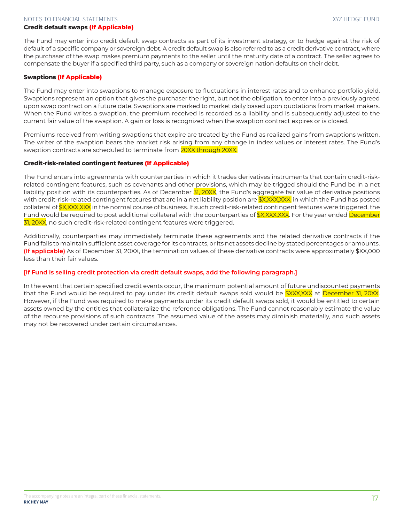#### **Credit default swaps (If Applicable)**

The Fund may enter into credit default swap contracts as part of its investment strategy, or to hedge against the risk of default of a specific company or sovereign debt. A credit default swap is also referred to as a credit derivative contract, where the purchaser of the swap makes premium payments to the seller until the maturity date of a contract. The seller agrees to compensate the buyer if a specified third party, such as a company or sovereign nation defaults on their debt.

#### **Swaptions (If Applicable)**

The Fund may enter into swaptions to manage exposure to fluctuations in interest rates and to enhance portfolio yield. Swaptions represent an option that gives the purchaser the right, but not the obligation, to enter into a previously agreed upon swap contract on a future date. Swaptions are marked to market daily based upon quotations from market makers. When the Fund writes a swaption, the premium received is recorded as a liability and is subsequently adjusted to the current fair value of the swaption. A gain or loss is recognized when the swaption contract expires or is closed.

Premiums received from writing swaptions that expire are treated by the Fund as realized gains from swaptions written. The writer of the swaption bears the market risk arising from any change in index values or interest rates. The Fund's swaption contracts are scheduled to terminate from 20XX through 20XX.

#### **Credit-risk-related contingent features (If Applicable)**

The Fund enters into agreements with counterparties in which it trades derivatives instruments that contain credit-riskrelated contingent features, such as covenants and other provisions, which may be trigged should the Fund be in a net liability position with its counterparties. As of December 31, 20XX, the Fund's aggregate fair value of derivative positions with credit-risk-related contingent features that are in a net liability position are \$X,XXX,XXX, in which the Fund has posted collateral of **\$X,XXX,XXX** in the normal course of business. If such credit-risk-related contingent features were triggered, the Fund would be required to post additional collateral with the counterparties of \$X,XXX,XXX. For the year ended <mark>December</mark> 31, 20XX, no such credit-risk-related contingent features were triggered.

Additionally, counterparties may immediately terminate these agreements and the related derivative contracts if the Fund fails to maintain sufficient asset coverage for its contracts, or its net assets decline by stated percentages or amounts. **(If applicable)** As of December 31, 20XX, the termination values of these derivative contracts were approximately \$XX,000 less than their fair values.

#### **[If Fund is selling credit protection via credit default swaps, add the following paragraph.]**

In the event that certain specified credit events occur, the maximum potential amount of future undiscounted payments that the Fund would be required to pay under its credit default swaps sold would be \$XXX,XXX at December 31, 20XX. However, if the Fund was required to make payments under its credit default swaps sold, it would be entitled to certain assets owned by the entities that collateralize the reference obligations. The Fund cannot reasonably estimate the value of the recourse provisions of such contracts. The assumed value of the assets may diminish materially, and such assets may not be recovered under certain circumstances.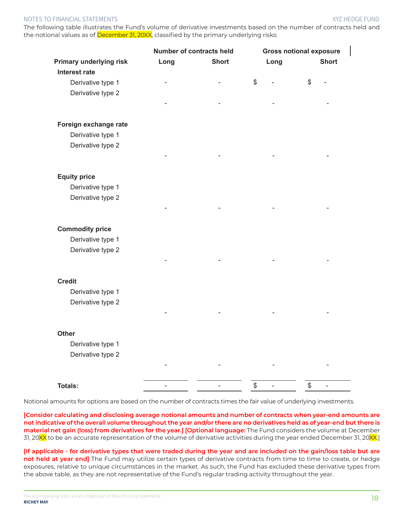The following table illustrates the Fund's volume of derivative investments based on the number of contracts held and the notional values as of December 31, 20XX, classified by the primary underlying risks:

|                                | Number of contracts held |              | <b>Gross notional exposure</b> |              |  |  |
|--------------------------------|--------------------------|--------------|--------------------------------|--------------|--|--|
| <b>Primary underlying risk</b> | Long                     | <b>Short</b> | Long                           | <b>Short</b> |  |  |
| <b>Interest rate</b>           |                          |              |                                |              |  |  |
| Derivative type 1              |                          |              | \$                             | \$           |  |  |
| Derivative type 2              |                          |              |                                |              |  |  |
|                                |                          |              |                                |              |  |  |
| Foreign exchange rate          |                          |              |                                |              |  |  |
| Derivative type 1              |                          |              |                                |              |  |  |
| Derivative type 2              |                          |              |                                |              |  |  |
|                                |                          |              |                                |              |  |  |
| <b>Equity price</b>            |                          |              |                                |              |  |  |
| Derivative type 1              |                          |              |                                |              |  |  |
| Derivative type 2              |                          |              |                                |              |  |  |
|                                |                          |              |                                |              |  |  |
| <b>Commodity price</b>         |                          |              |                                |              |  |  |
| Derivative type 1              |                          |              |                                |              |  |  |
| Derivative type 2              |                          |              |                                |              |  |  |
|                                |                          |              |                                |              |  |  |
| <b>Credit</b>                  |                          |              |                                |              |  |  |
| Derivative type 1              |                          |              |                                |              |  |  |
| Derivative type 2              |                          |              |                                |              |  |  |
|                                |                          |              |                                |              |  |  |
| <b>Other</b>                   |                          |              |                                |              |  |  |
| Derivative type 1              |                          |              |                                |              |  |  |
| Derivative type 2              |                          |              |                                |              |  |  |
|                                |                          |              |                                |              |  |  |
| <b>Totals:</b>                 | $\overline{\phantom{0}}$ |              | \$                             | \$           |  |  |

Notional amounts for options are based on the number of contracts times the fair value of underlying investments.

**[Consider calculating and disclosing average notional amounts and number of contracts when year-end amounts are not indicative of the overall volume throughout the year and/or there are no derivatives held as of year-end but there is material net gain (loss) from derivatives for the year.] [Optional language:** The Fund considers the volume at December 31, 20XX to be an accurate representation of the volume of derivative activities during the year ended December 31, 20XX.

**[If applicable - for derivative types that were traded during the year and are included on the gain/loss table but are not held at year end]** The Fund may utilize certain types of derivative contracts from time to time to create, or hedge exposures, relative to unique circumstances in the market. As such, the Fund has excluded these derivative types from the above table, as they are not representative of the Fund's regular trading activity throughout the year.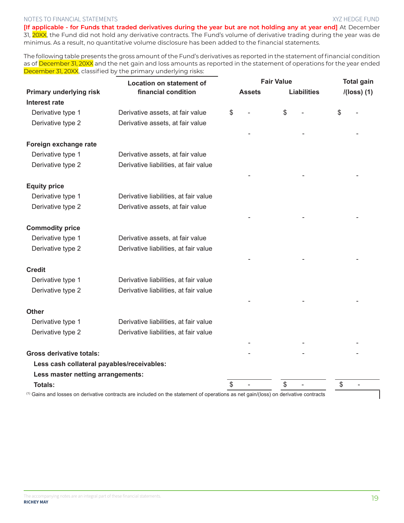**[If applicable - for Funds that traded derivatives during the year but are not holding any at year end]** At December 31, 20XX, the Fund did not hold any derivative contracts. The Fund's volume of derivative trading during the year was de minimus. As a result, no quantitative volume disclosure has been added to the financial statements.

The following table presents the gross amount of the Fund's derivatives as reported in the statement of financial condition as of December 31, 20XX and the net gain and loss amounts as reported in the statement of operations for the year ended December 31, 20XX, classified by the primary underlying risks:

|                                            | <b>Location on statement of</b>                                                                                                                | <b>Assets</b> |  | <b>Fair Value</b> | <b>Liabilities</b> |    | <b>Total gain</b><br>$I(loss)$ (1) |  |
|--------------------------------------------|------------------------------------------------------------------------------------------------------------------------------------------------|---------------|--|-------------------|--------------------|----|------------------------------------|--|
| <b>Primary underlying risk</b>             | financial condition                                                                                                                            |               |  |                   |                    |    |                                    |  |
| <b>Interest rate</b>                       |                                                                                                                                                |               |  |                   |                    |    |                                    |  |
| Derivative type 1                          | Derivative assets, at fair value                                                                                                               | \$            |  | \$                |                    | S  |                                    |  |
| Derivative type 2                          | Derivative assets, at fair value                                                                                                               |               |  |                   |                    |    |                                    |  |
| Foreign exchange rate                      |                                                                                                                                                |               |  |                   |                    |    |                                    |  |
| Derivative type 1                          | Derivative assets, at fair value                                                                                                               |               |  |                   |                    |    |                                    |  |
| Derivative type 2                          | Derivative liabilities, at fair value                                                                                                          |               |  |                   |                    |    |                                    |  |
| <b>Equity price</b>                        |                                                                                                                                                |               |  |                   |                    |    |                                    |  |
| Derivative type 1                          | Derivative liabilities, at fair value                                                                                                          |               |  |                   |                    |    |                                    |  |
| Derivative type 2                          | Derivative assets, at fair value                                                                                                               |               |  |                   |                    |    |                                    |  |
| <b>Commodity price</b>                     |                                                                                                                                                |               |  |                   |                    |    |                                    |  |
| Derivative type 1                          | Derivative assets, at fair value                                                                                                               |               |  |                   |                    |    |                                    |  |
| Derivative type 2                          | Derivative liabilities, at fair value                                                                                                          |               |  |                   |                    |    |                                    |  |
|                                            |                                                                                                                                                |               |  |                   |                    |    |                                    |  |
| <b>Credit</b>                              |                                                                                                                                                |               |  |                   |                    |    |                                    |  |
| Derivative type 1                          | Derivative liabilities, at fair value                                                                                                          |               |  |                   |                    |    |                                    |  |
| Derivative type 2                          | Derivative liabilities, at fair value                                                                                                          |               |  |                   |                    |    |                                    |  |
| <b>Other</b>                               |                                                                                                                                                |               |  |                   |                    |    |                                    |  |
| Derivative type 1                          | Derivative liabilities, at fair value                                                                                                          |               |  |                   |                    |    |                                    |  |
| Derivative type 2                          | Derivative liabilities, at fair value                                                                                                          |               |  |                   |                    |    |                                    |  |
| <b>Gross derivative totals:</b>            |                                                                                                                                                |               |  |                   |                    |    |                                    |  |
|                                            |                                                                                                                                                |               |  |                   |                    |    |                                    |  |
| Less cash collateral payables/receivables: |                                                                                                                                                |               |  |                   |                    |    |                                    |  |
| Less master netting arrangements:          |                                                                                                                                                | \$            |  | \$                |                    | \$ |                                    |  |
| <b>Totals:</b>                             | <sup>(1)</sup> Gains and losses on derivative contracts are included on the statement of operations as net gain/(loss) on derivative contracts |               |  |                   |                    |    |                                    |  |

ヿ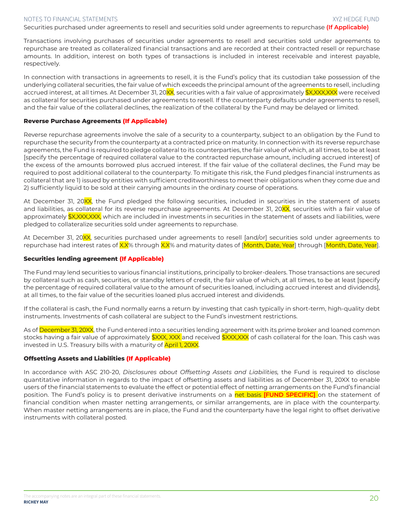Securities purchased under agreements to resell and securities sold under agreements to repurchase **(If Applicable)**

Transactions involving purchases of securities under agreements to resell and securities sold under agreements to repurchase are treated as collateralized financial transactions and are recorded at their contracted resell or repurchase amounts. In addition, interest on both types of transactions is included in interest receivable and interest payable, respectively.

In connection with transactions in agreements to resell, it is the Fund's policy that its custodian take possession of the underlying collateral securities, the fair value of which exceeds the principal amount of the agreements to resell, including accrued interest, at all times. At December 31, 20XX, securities with a fair value of approximately \$X,XXX,XXX were received as collateral for securities purchased under agreements to resell. If the counterparty defaults under agreements to resell, and the fair value of the collateral declines, the realization of the collateral by the Fund may be delayed or limited.

#### **Reverse Purchase Agreements (If Applicable)**

Reverse repurchase agreements involve the sale of a security to a counterparty, subject to an obligation by the Fund to repurchase the security from the counterparty at a contracted price on maturity. In connection with its reverse repurchase agreements, the Fund is required to pledge collateral to its counterparties, the fair value of which, at all times, to be at least [specify the percentage of required collateral value to the contracted repurchase amount, including accrued interest] of the excess of the amounts borrowed plus accrued interest. If the fair value of the collateral declines, the Fund may be required to post additional collateral to the counterparty. To mitigate this risk, the Fund pledges financial instruments as collateral that are 1) issued by entities with sufficient creditworthiness to meet their obligations when they come due and 2) sufficiently liquid to be sold at their carrying amounts in the ordinary course of operations.

At December 31, 20XX, the Fund pledged the following securities, included in securities in the statement of assets and liabilities, as collateral for its reverse repurchase agreements. At December 31, 20XX, securities with a fair value of approximately \$X,XXX,XXX, which are included in investments in securities in the statement of assets and liabilities, were pledged to collateralize securities sold under agreements to repurchase.

At December 31, 20XX, securities purchased under agreements to resell [and/or] securities sold under agreements to repurchase had interest rates of X.X% through X.X% and maturity dates of [Month, Date, Year] through [Month, Date, Year].

#### **Securities lending agreement (If Applicable)**

The Fund may lend securities to various financial institutions, principally to broker-dealers. Those transactions are secured by collateral such as cash, securities, or standby letters of credit, the fair value of which, at all times, to be at least [specify the percentage of required collateral value to the amount of securities loaned, including accrued interest and dividends], at all times, to the fair value of the securities loaned plus accrued interest and dividends.

If the collateral is cash, the Fund normally earns a return by investing that cash typically in short-term, high-quality debt instruments. Investments of cash collateral are subject to the Fund's investment restrictions.

As of December 31, 20XX, the Fund entered into a securities lending agreement with its prime broker and loaned common stocks having a fair value of approximately \$XXX, XXX and received \$XXX,XXX of cash collateral for the loan. This cash was invested in U.S. Treasury bills with a maturity of **April 1, 20XX**.

#### **Offsetting Assets and Liabilities (If Applicable)**

In accordance with ASC 210-20, *Disclosures about Offsetting Assets and Liabilities,* the Fund is required to disclose quantitative information in regards to the impact of offsetting assets and liabilities as of December 31, 20XX to enable users of the financial statements to evaluate the effect or potential effect of netting arrangements on the Fund's financial position. The Fund's policy is to present derivative instruments on a net basis **[FUND SPECIFIC]** on the statement of financial condition when master netting arrangements, or similar arrangements, are in place with the counterparty. When master netting arrangements are in place, the Fund and the counterparty have the legal right to offset derivative instruments with collateral posted.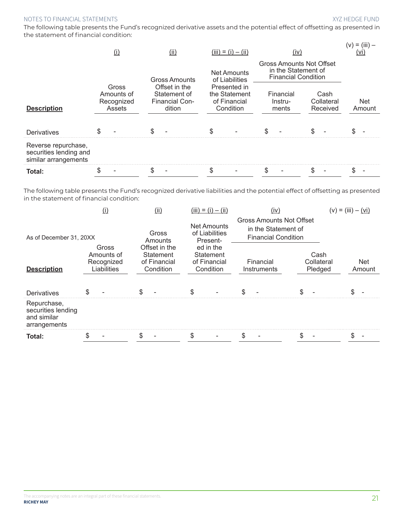$\ell$  is  $\ell$  and  $\ell$ 

The following table presents the Fund's recognized derivative assets and the potential effect of offsetting as presented in the statement of financial condition:

|                                                                       | (1)                                         | (ii)                                                             | $(iii) = (i) - (ii)$                                       | (iv)                                                                                 |                                | (V)<br>$=$ (III)<br>(VI |
|-----------------------------------------------------------------------|---------------------------------------------|------------------------------------------------------------------|------------------------------------------------------------|--------------------------------------------------------------------------------------|--------------------------------|-------------------------|
|                                                                       |                                             | <b>Gross Amounts</b>                                             | <b>Net Amounts</b><br>of Liabilities                       | <b>Gross Amounts Not Offset</b><br>in the Statement of<br><b>Financial Condition</b> |                                |                         |
| <b>Description</b>                                                    | Gross<br>Amounts of<br>Recognized<br>Assets | Offset in the<br>Statement of<br><b>Financial Con-</b><br>dition | Presented in<br>the Statement<br>of Financial<br>Condition | Financial<br>Instru-<br>ments                                                        | Cash<br>Collateral<br>Received | <b>Net</b><br>Amount    |
| Derivatives                                                           |                                             |                                                                  |                                                            |                                                                                      |                                |                         |
| Reverse repurchase,<br>securities lending and<br>similar arrangements |                                             |                                                                  |                                                            |                                                                                      |                                |                         |
| Total:                                                                |                                             |                                                                  |                                                            |                                                                                      |                                |                         |

The following table presents the Fund's recognized derivative liabilities and the potential effect of offsetting as presented in the statement of financial condition:

|                                                                  | $\mathbf{I}$                                     | (iii)                                                          | $(iii) = (i) - (ii)$                                | (iv)                                                                                 |                               | $(v) = (iii) - (vi)$ |  |
|------------------------------------------------------------------|--------------------------------------------------|----------------------------------------------------------------|-----------------------------------------------------|--------------------------------------------------------------------------------------|-------------------------------|----------------------|--|
| As of December 31, 20XX                                          |                                                  | Gross<br>Amounts                                               | <b>Net Amounts</b><br>of Liabilities<br>Present-    | <b>Gross Amounts Not Offset</b><br>in the Statement of<br><b>Financial Condition</b> |                               |                      |  |
| <b>Description</b>                                               | Gross<br>Amounts of<br>Recognized<br>Liabilities | Offset in the<br><b>Statement</b><br>of Financial<br>Condition | ed in the<br>Statement<br>of Financial<br>Condition | Financial<br>Instruments                                                             | Cash<br>Collateral<br>Pledged | <b>Net</b><br>Amount |  |
| Derivatives                                                      |                                                  | \$                                                             | \$                                                  | \$                                                                                   |                               |                      |  |
| Repurchase,<br>securities lending<br>and similar<br>arrangements |                                                  |                                                                |                                                     |                                                                                      |                               |                      |  |
| Total:                                                           | \$.                                              |                                                                | \$                                                  | \$                                                                                   | \$.                           |                      |  |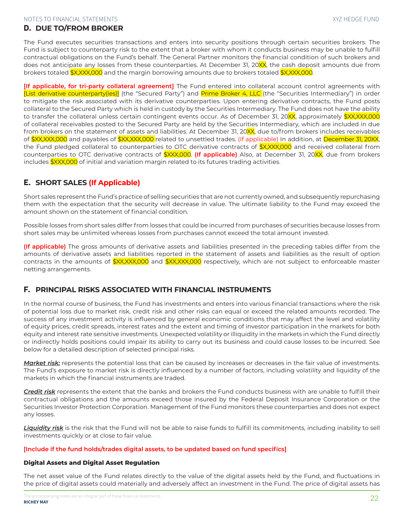## D. **DUE TO/FROM BROKER**

The Fund executes securities transactions and enters into security positions through certain securities brokers. The Fund is subject to counterparty risk to the extent that a broker with whom it conducts business may be unable to fulfill contractual obligations on the Fund's behalf. The General Partner monitors the financial condition of such brokers and does not anticipate any losses from these counterparties. At December 31, 20XX, the cash deposit amounts due from brokers totaled \$X,XXX,000 and the margin borrowing amounts due to brokers totaled \$X,XXX,000.

**[If applicable, for tri-party collateral agreement]** The Fund entered into collateral account control agreements with [List derivative counterparty(ies)] (the "Secured Party") and Prime Broker 4, LLC (the "Securities Intermediary") in order to mitigate the risk associated with its derivative counterparties. Upon entering derivative contracts, the Fund posts collateral to the Secured Party which is held in custody by the Securities Intermediary. The Fund does not have the ability to transfer the collateral unless certain contingent events occur. As of December 31, 20XX, approximately \$XX,XXX,000 of collateral receivables posted to the Secured Party are held by the Securities Intermediary, which are included in due from brokers on the statement of assets and liabilities. At December 31, 20XX, due to/from brokers includes receivables of \$XX,XXX,000 and payables of \$XX,XXX,000 related to unsettled trades. (If applicable) In addition, at December 31, 20XX, the Fund pledged collateral to counterparties to OTC derivative contracts of \$X,XXX,000 and received collateral from counterparties to OTC derivative contracts of \$XXX,000. **(If applicable)** Also, at December 31, 20XX, due from brokers includes \$XXX,000 of initial and variation margin related to its futures trading activities.

# E. **SHORT SALES (If Applicable)**

Short sales represent the Fund's practice of selling securities that are not currently owned, and subsequently repurchasing them with the expectation that the security will decrease in value. The ultimate liability to the Fund may exceed the amount shown on the statement of financial condition.

Possible losses from short sales differ from losses that could be incurred from purchases of securities because losses from short sales may be unlimited whereas losses from purchases cannot exceed the total amount invested.

**(If applicable)** The gross amounts of derivative assets and liabilities presented in the preceding tables differ from the amounts of derivative assets and liabilities reported in the statement of assets and liabilities as the result of option contracts in the amounts of \$XX,XXX,000 and \$XX,XXX,000 respectively, which are not subject to enforceable master netting arrangements.

# F. **PRINCIPAL RISKS ASSOCIATED WITH FINANCIAL INSTRUMENTS**

In the normal course of business, the Fund has investments and enters into various financial transactions where the risk of potential loss due to market risk, credit risk and other risks can equal or exceed the related amounts recorded. The success of any investment activity is influenced by general economic conditions that may affect the level and volatility of equity prices, credit spreads, interest rates and the extent and timing of investor participation in the markets for both equity and interest rate sensitive investments. Unexpected volatility or illiquidity in the markets in which the Fund directly or indirectly holds positions could impair its ability to carry out its business and could cause losses to be incurred. See below for a detailed description of selected principal risks.

Market risk: represents the potential loss that can be caused by increases or decreases in the fair value of investments. The Fund's exposure to market risk is directly influenced by a number of factors, including volatility and liquidity of the markets in which the financial instruments are traded.

*Credit risk* represents the extent that the banks and brokers the Fund conducts business with are unable to fulfill their contractual obligations and the amounts exceed those insured by the Federal Deposit Insurance Corporation or the Securities Investor Protection Corporation. Management of the Fund monitors these counterparties and does not expect any losses.

*Liquidity risk* is the risk that the Fund will not be able to raise funds to fulfill its commitments, including inability to sell investments quickly or at close to fair value.

#### **[Include if the fund holds/trades digital assets, to be updated based on fund specifics]**

## **Digital Assets and Digital Asset Regulation**

The net asset value of the Fund relates directly to the value of the digital assets held by the Fund, and fluctuations in the price of digital assets could materially and adversely affect an investment in the Fund. The price of digital assets has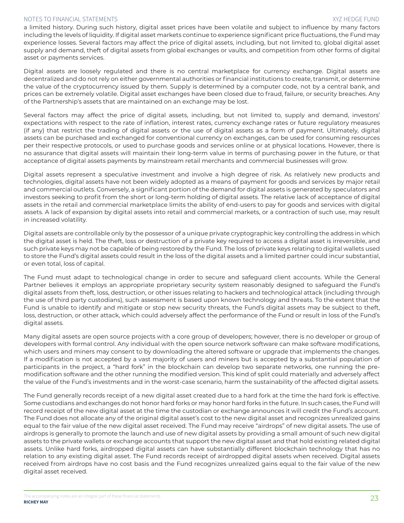a limited history. During such history, digital asset prices have been volatile and subject to influence by many factors including the levels of liquidity. If digital asset markets continue to experience significant price fluctuations, the Fund may experience losses. Several factors may affect the price of digital assets, including, but not limited to, global digital asset supply and demand, theft of digital assets from global exchanges or vaults, and competition from other forms of digital asset or payments services.

Digital assets are loosely regulated and there is no central marketplace for currency exchange. Digital assets are decentralized and do not rely on either governmental authorities or financial institutions to create, transmit, or determine the value of the cryptocurrency issued by them. Supply is determined by a computer code, not by a central bank, and prices can be extremely volatile. Digital asset exchanges have been closed due to fraud, failure, or security breaches. Any of the Partnership's assets that are maintained on an exchange may be lost.

Several factors may affect the price of digital assets, including, but not limited to, supply and demand, investors' expectations with respect to the rate of inflation, interest rates, currency exchange rates or future regulatory measures (if any) that restrict the trading of digital assets or the use of digital assets as a form of payment. Ultimately, digital assets can be purchased and exchanged for conventional currency on exchanges, can be used for consuming resources per their respective protocols, or used to purchase goods and services online or at physical locations. However, there is no assurance that digital assets will maintain their long-term value in terms of purchasing power in the future, or that acceptance of digital assets payments by mainstream retail merchants and commercial businesses will grow.

Digital assets represent a speculative investment and involve a high degree of risk. As relatively new products and technologies, digital assets have not been widely adopted as a means of payment for goods and services by major retail and commercial outlets. Conversely, a significant portion of the demand for digital assets is generated by speculators and investors seeking to profit from the short or long-term holding of digital assets. The relative lack of acceptance of digital assets in the retail and commercial marketplace limits the ability of end-users to pay for goods and services with digital assets. A lack of expansion by digital assets into retail and commercial markets, or a contraction of such use, may result in increased volatility.

Digital assets are controllable only by the possessor of a unique private cryptographic key controlling the address in which the digital asset is held. The theft, loss or destruction of a private key required to access a digital asset is irreversible, and such private keys may not be capable of being restored by the Fund. The loss of private keys relating to digital wallets used to store the Fund's digital assets could result in the loss of the digital assets and a limited partner could incur substantial, or even total, loss of capital.

The Fund must adapt to technological change in order to secure and safeguard client accounts. While the General Partner believes it employs an appropriate proprietary security system reasonably designed to safeguard the Fund's digital assets from theft, loss, destruction, or other issues relating to hackers and technological attack (including through the use of third party custodians), such assessment is based upon known technology and threats. To the extent that the Fund is unable to identify and mitigate or stop new security threats, the Fund's digital assets may be subject to theft, loss, destruction, or other attack, which could adversely affect the performance of the Fund or result in loss of the Fund's digital assets.

Many digital assets are open source projects with a core group of developers; however, there is no developer or group of developers with formal control. Any individual with the open source network software can make software modifications, which users and miners may consent to by downloading the altered software or upgrade that implements the changes. If a modification is not accepted by a vast majority of users and miners but is accepted by a substantial population of participants in the project, a "hard fork" in the blockchain can develop two separate networks, one running the premodification software and the other running the modified version. This kind of split could materially and adversely affect the value of the Fund's investments and in the worst-case scenario, harm the sustainability of the affected digital assets.

The Fund generally records receipt of a new digital asset created due to a hard fork at the time the hard fork is effective. Some custodians and exchanges do not honor hard forks or may honor hard forks in the future. In such cases, the Fund will record receipt of the new digital asset at the time the custodian or exchange announces it will credit the Fund's account. The Fund does not allocate any of the original digital asset's cost to the new digital asset and recognizes unrealized gains equal to the fair value of the new digital asset received. The Fund may receive "airdrops" of new digital assets. The use of airdrops is generally to promote the launch and use of new digital assets by providing a small amount of such new digital assets to the private wallets or exchange accounts that support the new digital asset and that hold existing related digital assets. Unlike hard forks, airdropped digital assets can have substantially different blockchain technology that has no relation to any existing digital asset. The Fund records receipt of airdropped digital assets when received. Digital assets received from airdrops have no cost basis and the Fund recognizes unrealized gains equal to the fair value of the new digital asset received.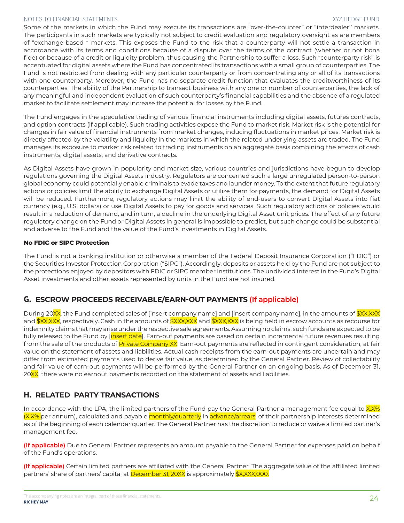Some of the markets in which the Fund may execute its transactions are "over-the-counter" or "interdealer'' markets. The participants in such markets are typically not subject to credit evaluation and regulatory oversight as are members of "exchange-based " markets. This exposes the Fund to the risk that a counterparty will not settle a transaction in accordance with its terms and conditions because of a dispute over the terms of the contract (whether or not bona fide) or because of a credit or liquidity problem, thus causing the Partnership to suffer a loss. Such "counterparty risk" is accentuated for digital assets where the Fund has concentrated its transactions with a small group of counterparties. The Fund is not restricted from dealing with any particular counterparty or from concentrating any or all of its transactions with one counterparty. Moreover, the Fund has no separate credit function that evaluates the creditworthiness of its counterparties. The ability of the Partnership to transact business with any one or number of counterparties, the lack of any meaningful and independent evaluation of such counterparty's financial capabilities and the absence of a regulated market to facilitate settlement may increase the potential for losses by the Fund.

The Fund engages in the speculative trading of various financial instruments including digital assets, futures contracts, and option contracts (if applicable). Such trading activities expose the Fund to market risk. Market risk is the potential for changes in fair value of financial instruments from market changes, inducing fluctuations in market prices. Market risk is directly affected by the volatility and liquidity in the markets in which the related underlying assets are traded. The Fund manages its exposure to market risk related to trading instruments on an aggregate basis combining the effects of cash instruments, digital assets, and derivative contracts.

As Digital Assets have grown in popularity and market size, various countries and jurisdictions have begun to develop regulations governing the Digital Assets industry. Regulators are concerned such a large unregulated person-to-person global economy could potentially enable criminals to evade taxes and launder money. To the extent that future regulatory actions or policies limit the ability to exchange Digital Assets or utilize them for payments, the demand for Digital Assets will be reduced. Furthermore, regulatory actions may limit the ability of end-users to convert Digital Assets into fiat currency (e.g., U.S. dollars) or use Digital Assets to pay for goods and services. Such regulatory actions or policies would result in a reduction of demand, and in turn, a decline in the underlying Digital Asset unit prices. The effect of any future regulatory change on the Fund or Digital Assets in general is impossible to predict, but such change could be substantial and adverse to the Fund and the value of the Fund's investments in Digital Assets.

## **No FDIC or SIPC Protection**

The Fund is not a banking institution or otherwise a member of the Federal Deposit Insurance Corporation ("FDIC") or the Securities Investor Protection Corporation ("SIPC"). Accordingly, deposits or assets held by the Fund are not subject to the protections enjoyed by depositors with FDIC or SIPC member institutions. The undivided interest in the Fund's Digital Asset investments and other assets represented by units in the Fund are not insured.

# G. **ESCROW PROCEEDS RECEIVABLE/EARN-OUT PAYMENTS (If applicable)**

During 20XX, the Fund completed sales of [insert company name] and [insert company name], in the amounts of \$XX,XXX and \$XX,XXX, respectively. Cash in the amounts of \$XXX,XXX and \$XXX,XXX is being held in escrow accounts as recourse for indemnity claims that may arise under the respective sale agreements. Assuming no claims, such funds are expected to be fully released to the Fund by [insert date]. Earn-out payments are based on certain incremental future revenues resulting from the sale of the products of Private Company XX. Earn-out payments are reflected in contingent consideration, at fair value on the statement of assets and liabilities. Actual cash receipts from the earn-out payments are uncertain and may differ from estimated payments used to derive fair value, as determined by the General Partner. Review of collectability and fair value of earn-out payments will be performed by the General Partner on an ongoing basis. As of December 31, 20XX, there were no earnout payments recorded on the statement of assets and liabilities.

# H. **RELATED PARTY TRANSACTIONS**

In accordance with the LPA, the limited partners of the Fund pay the General Partner a management fee equal to  $X.X\%$ (X.X% per annum), calculated and payable monthly/quarterly in advance/arrears, of their partnership interests determined as of the beginning of each calendar quarter. The General Partner has the discretion to reduce or waive a limited partner's management fee.

**(If applicable)** Due to General Partner represents an amount payable to the General Partner for expenses paid on behalf of the Fund's operations.

**(If applicable)** Certain limited partners are affiliated with the General Partner. The aggregate value of the affiliated limited partners' share of partners' capital at December 31, 20XX is approximately \$X,XXX,000.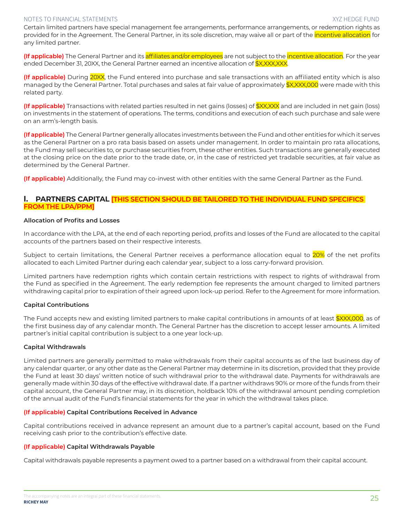Certain limited partners have special management fee arrangements, performance arrangements, or redemption rights as provided for in the Agreement. The General Partner, in its sole discretion, may waive all or part of the *incentive allocation* for any limited partner.

**(If applicable)** The General Partner and its affiliates and/or employees are not subject to the incentive allocation. For the year ended December 31, 20XX, the General Partner earned an incentive allocation of **\$X,XXX,XXX.** 

**(If applicable)** During 20XX, the Fund entered into purchase and sale transactions with an affiliated entity which is also managed by the General Partner. Total purchases and sales at fair value of approximately \$X,XXX,000 were made with this related party.

**(If applicable)** Transactions with related parties resulted in net gains (losses) of  $\frac{2}{3}$ XX,XXX and are included in net gain (loss) on investments in the statement of operations. The terms, conditions and execution of each such purchase and sale were on an arm's-length basis.

**(If applicable)** The General Partner generally allocates investments between the Fund and other entities for which it serves as the General Partner on a pro rata basis based on assets under management. In order to maintain pro rata allocations, the Fund may sell securities to, or purchase securities from, these other entities. Such transactions are generally executed at the closing price on the date prior to the trade date, or, in the case of restricted yet tradable securities, at fair value as determined by the General Partner.

**(If applicable)** Additionally, the Fund may co-invest with other entities with the same General Partner as the Fund.

## I. **PARTNERS CAPITAL [THIS SECTION SHOULD BE TAILORED TO THE INDIVIDUAL FUND SPECIFICS FROM THE LPA/PPM]**

#### **Allocation of Profits and Losses**

In accordance with the LPA, at the end of each reporting period, profits and losses of the Fund are allocated to the capital accounts of the partners based on their respective interests.

Subject to certain limitations, the General Partner receives a performance allocation equal to 20% of the net profits allocated to each Limited Partner during each calendar year, subject to a loss carry-forward provision.

Limited partners have redemption rights which contain certain restrictions with respect to rights of withdrawal from the Fund as specified in the Agreement. The early redemption fee represents the amount charged to limited partners withdrawing capital prior to expiration of their agreed upon lock-up period. Refer to the Agreement for more information.

## **Capital Contributions**

The Fund accepts new and existing limited partners to make capital contributions in amounts of at least \$XXX,000, as of the first business day of any calendar month. The General Partner has the discretion to accept lesser amounts. A limited partner's initial capital contribution is subject to a one year lock-up.

## **Capital Withdrawals**

Limited partners are generally permitted to make withdrawals from their capital accounts as of the last business day of any calendar quarter, or any other date as the General Partner may determine in its discretion, provided that they provide the Fund at least 30 days' written notice of such withdrawal prior to the withdrawal date. Payments for withdrawals are generally made within 30 days of the effective withdrawal date. If a partner withdraws 90% or more of the funds from their capital account, the General Partner may, in its discretion, holdback 10% of the withdrawal amount pending completion of the annual audit of the Fund's financial statements for the year in which the withdrawal takes place.

## **(If applicable) Capital Contributions Received in Advance**

Capital contributions received in advance represent an amount due to a partner's capital account, based on the Fund receiving cash prior to the contribution's effective date.

## **(If applicable) Capital Withdrawals Payable**

Capital withdrawals payable represents a payment owed to a partner based on a withdrawal from their capital account.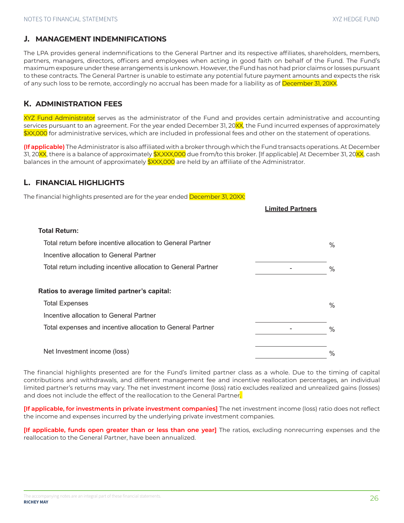# J. **MANAGEMENT INDEMNIFICATIONS**

The LPA provides general indemnifications to the General Partner and its respective affiliates, shareholders, members, partners, managers, directors, officers and employees when acting in good faith on behalf of the Fund. The Fund's maximum exposure under these arrangements is unknown. However, the Fund has not had prior claims or losses pursuant to these contracts. The General Partner is unable to estimate any potential future payment amounts and expects the risk of any such loss to be remote, accordingly no accrual has been made for a liability as of December 31, 20XX.

# K. **ADMINISTRATION FEES**

XYZ Fund Administrator serves as the administrator of the Fund and provides certain administrative and accounting services pursuant to an agreement. For the year ended December 31, 20XX, the Fund incurred expenses of approximately \$XX,000 for administrative services, which are included in professional fees and other on the statement of operations.

**(If applicable)** The Administrator is also affiliated with a broker through which the Fund transacts operations. At December 31, 20<mark>XX</mark>, there is a balance of approximately \$X,XXX,000 due from/to this broker. [If applicable] At December 31, 20XX, cash balances in the amount of approximately **\$XXX,000** are held by an affiliate of the Administrator.

**Limited Partners**

# L. **FINANCIAL HIGHLIGHTS**

The financial highlights presented are for the year ended December 31, 20XX:

| <b>Total Return:</b>                                           |      |
|----------------------------------------------------------------|------|
| Total return before incentive allocation to General Partner    | $\%$ |
| Incentive allocation to General Partner                        |      |
| Total return including incentive allocation to General Partner | $\%$ |
|                                                                |      |
| Ratios to average limited partner's capital:                   |      |
| <b>Total Expenses</b>                                          | $\%$ |
| Incentive allocation to General Partner                        |      |
| Total expenses and incentive allocation to General Partner     | $\%$ |
|                                                                |      |
| Net Investment income (loss)                                   | $\%$ |

The financial highlights presented are for the Fund's limited partner class as a whole. Due to the timing of capital contributions and withdrawals, and different management fee and incentive reallocation percentages, an individual limited partner's returns may vary. The net investment income (loss) ratio excludes realized and unrealized gains (losses) and does not include the effect of the reallocation to the General Partner.

**[If applicable, for investments in private investment companies]** The net investment income (loss) ratio does not reflect the income and expenses incurred by the underlying private investment companies.

**[If applicable, funds open greater than or less than one year]** The ratios, excluding nonrecurring expenses and the reallocation to the General Partner, have been annualized.